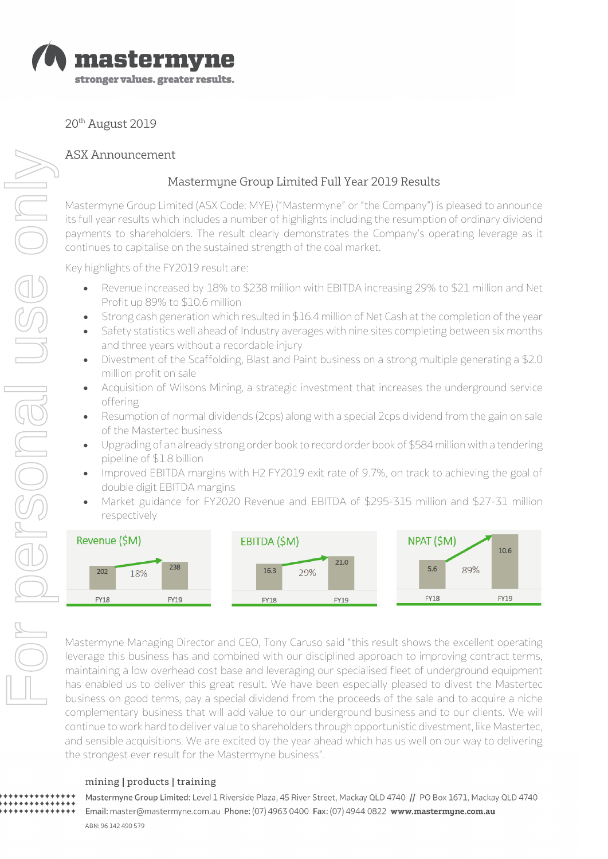

20th August 2019

# ASX Announcement

# Mastermyne Group Limited Full Year 2019 Results

Mastermyne Group Limited (ASX Code: MYE) ("Mastermyne" or "the Company") is pleased to announce its full year results which includes a number of highlights including the resumption of ordinary dividend payments to shareholders. The result clearly demonstrates the Company's operating leverage as it continues to capitalise on the sustained strength of the coal market.

Key highlights of the FY2019 result are:

- Revenue increased by 18% to \$238 million with EBITDA increasing 29% to \$21 million and Net Profit up 89% to \$10.6 million
- Strong cash generation which resulted in \$16.4 million of Net Cash at the completion of the year
- Safety statistics well ahead of Industry averages with nine sites completing between six months and three years without a recordable injury
- Divestment of the Scaffolding, Blast and Paint business on a strong multiple generating a \$2.0 million profit on sale
- Acquisition of Wilsons Mining, a strategic investment that increases the underground service offering
- Resumption of normal dividends (2cps) along with a special 2cps dividend from the gain on sale of the Mastertec business
- Upgrading of an already strong order book to record order book of \$584 million with a tendering pipeline of \$1.8 billion
- Improved EBITDA margins with H2 FY2019 exit rate of 9.7%, on track to achieving the goal of double digit EBITDA margins
- Market guidance for FY2020 Revenue and EBITDA of \$295-315 million and \$27-31 million respectively



Mastermyne Managing Director and CEO, Tony Caruso said "this result shows the excellent operating leverage this business has and combined with our disciplined approach to improving contract terms, maintaining a low overhead cost base and leveraging our specialised fleet of underground equipment has enabled us to deliver this great result. We have been especially pleased to divest the Mastertec business on good terms, pay a special dividend from the proceeds of the sale and to acquire a niche complementary business that will add value to our underground business and to our clients. We will continue to work hard to deliver value to shareholders through opportunistic divestment, like Mastertec, and sensible acquisitions. We are excited by the year ahead which has us well on our way to delivering the strongest ever result for the Mastermyne business".

## mining | products | training

Mastermyne Group Limited: Level 1 Riverside Plaza, 45 River Street, Mackay QLD 4740 // PO Box 1671, Mackay QLD 4740 Email: master@mastermyne.com.au Phone: (07) 4963 0400 Fax: (07) 4944 0822 www.mastermyne.com.au ABN: 96 142 490 579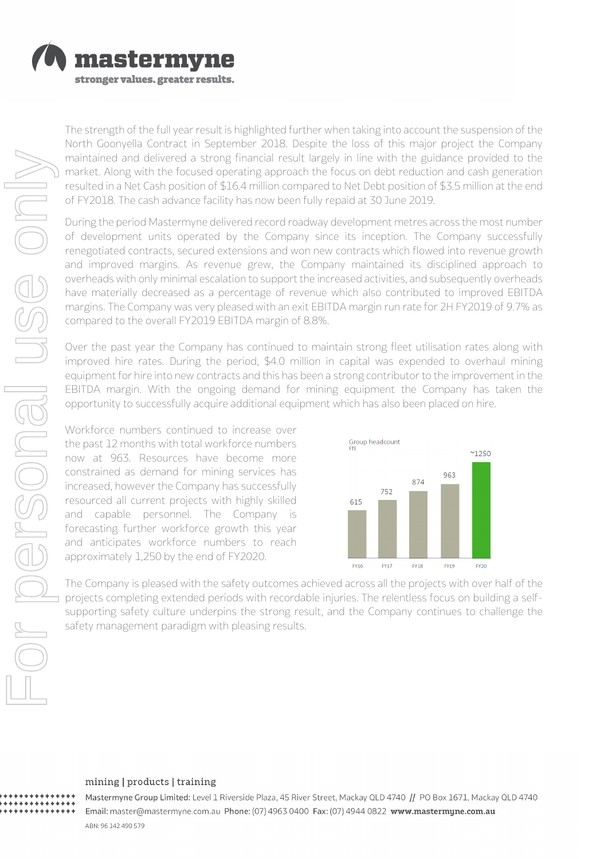

The strength of the full year result is highlighted further when taking into account the suspension of the North Goonyella Contract in September 2018. Despite the loss of this major project the Company maintained and delivered a strong financial result largely in line with the guidance provided to the market. Along with the focused operating approach the focus on debt reduction and cash generation resulted in a Net Cash position of \$16.4 million compared to Net Debt position of \$3.5 million at the end of FY2018. The cash advance facility has now been fully repaid at 30 June 2019.

During the period Mastermyne delivered record roadway development metres across the most number of development units operated by the Company since its inception. The Company successfully renegotiated contracts, secured extensions and won new contracts which flowed into revenue growth and improved margins. As revenue grew, the Company maintained its disciplined approach to overheads with only minimal escalation to support the increased activities, and subsequently overheads have materially decreased as a percentage of revenue which also contributed to improved EBITDA margins. The Company was very pleased with an exit EBITDA margin run rate for 2H FY2019 of 9.7% as compared to the overall FY2019 EBITDA margin of 8.8%.

Over the past year the Company has continued to maintain strong fleet utilisation rates along with improved hire rates. During the period, \$4.0 million in capital was expended to overhaul mining equipment for hire into new contracts and this has been a strong contributor to the improvement in the EBITDA margin. With the ongoing demand for mining equipment the Company has taken the opportunity to successfully acquire additional equipment which has also been placed on hire.

Workforce numbers continued to increase over the past 12 months with total workforce numbers now at 963. Resources have become more constrained as demand for mining services has increased, however the Company has successfully resourced all current projects with highly skilled and capable personnel. The Company is forecasting further workforce growth this year and anticipates workforce numbers to reach approximately 1,250 by the end of FY2020.



The Company is pleased with the safety outcomes achieved across all the projects with over half of the projects completing extended periods with recordable injuries. The relentless focus on building a selfsupporting safety culture underpins the strong result, and the Company continues to challenge the safety management paradigm with pleasing results.

### mining | products | training

Mastermyne Group Limited: Level 1 Riverside Plaza, 45 River Street, Mackay QLD 4740 // PO Box 1671, Mackay QLD 4740 Email: master@mastermyne.com.au Phone: (07) 4963 0400 Fax: (07) 4944 0822 www.mastermyne.com.au ABN: 96 142 490 579